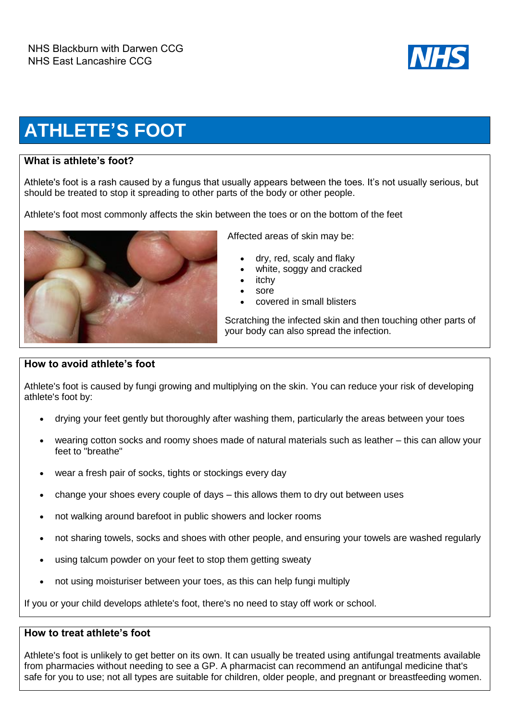

## **ATHLETE'S FOOT**

## **What is athlete's foot?**

Athlete's foot is a rash caused by a fungus that usually appears between the toes. It's not usually serious, but should be treated to stop it spreading to other parts of the body or other people.

Athlete's foot most commonly affects the skin between the toes or on the bottom of the feet



Affected areas of skin may be:

- dry, red, scaly and flaky
- white, soggy and cracked
- itchy
- sore
- covered in small blisters

Scratching the infected skin and then touching other parts of your body can also spread the infection.

## **How to avoid athlete's foot**

Athlete's foot is caused by fungi growing and multiplying on the skin. You can reduce your risk of developing athlete's foot by:

- drying your feet gently but thoroughly after washing them, particularly the areas between your toes
- wearing cotton socks and roomy shoes made of natural materials such as leather this can allow your feet to "breathe"
- wear a fresh pair of socks, tights or stockings every day
- change your shoes every couple of days this allows them to dry out between uses
- not walking around barefoot in public showers and locker rooms
- not sharing towels, socks and shoes with other people, and ensuring your towels are washed regularly
- using talcum powder on your feet to stop them getting sweaty
- not using moisturiser between your toes, as this can help fungi multiply

If you or your child develops athlete's foot, there's no need to stay off work or school.

## **How to treat athlete's foot**

Athlete's foot is unlikely to get better on its own. It can usually be treated using antifungal treatments available from pharmacies without needing to see a GP. A pharmacist can recommend an antifungal medicine that's safe for you to use; not all types are suitable for children, older people, and pregnant or breastfeeding women.